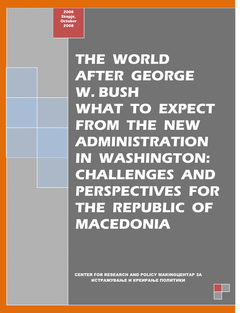**2008 Skopje, October 2008**

# **THE WORLD AFTER GEORGE W. BUSH** WHAT TO EXPECT **FROM THE NEW ADMINISTRATION IN WASHINGTON: CHALLENGES AND PERSPECTIVES FOR THE REPUBLIC OF MACEDONIA**

CENTER FOR RESEARCH AND POLICY MAKINGЦЕНТАР ЗА ИСТРАЖУВАЊЕ И КРЕИРАЊЕ ПОЛИТИКИ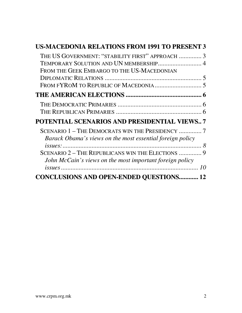| <b>US-MACEDONIA RELATIONS FROM 1991 TO PRESENT 3</b>                                                                                     |  |
|------------------------------------------------------------------------------------------------------------------------------------------|--|
| THE US GOVERNMENT: "STABILITY FIRST" APPROACH  3<br>TEMPORARY SOLUTION AND UN MEMBERSHIP 4<br>FROM THE GEEK EMBARGO TO THE US-MACEDONIAN |  |
|                                                                                                                                          |  |
|                                                                                                                                          |  |
|                                                                                                                                          |  |
| <b>POTENTIAL SCENARIOS AND PRESIDENTIAL VIEWS7</b>                                                                                       |  |
| SCENARIO 1 - THE DEMOCRATS WIN THE PRESIDENCY  7<br>Barack Obama's views on the most essential foreign policy                            |  |
| SCENARIO 2 - THE REPUBLICANS WIN THE ELECTIONS  9<br>John McCain's views on the most important foreign policy                            |  |
| <b>CONCLUSIONS AND OPEN-ENDED QUESTIONS 12</b>                                                                                           |  |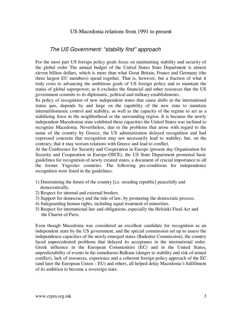#### US-Macedonia relations from 1991 to present

#### The US Government: "stability first" approach

For the most part US foreign policy goals focus on maintaining stability and security of the global order The annual budget of the United States State Department is almost eleven billion dollars, which is more than what Great Britain, France and Germany (the three largest EU members) spend together. That is, however, but a fraction of what it truly costs to advancing the ambitious goals of US foreign policy and to maintain the status of global superpower, as it excludes the financial and other resources that the US government commits to its diplomatic, political and military establishments.

Its policy of recognition of new independent states that cause shifts in the international status quo, depends by and large on the capability of the new state to maintain internal/domestic control and stability, as well as the capacity of the regime to act as a stabilizing force in the neighborhood or the surrounding region. It is because the newly independent Macedonian state exhibited these capacities the United States was inclined to recognize Macedonia. Nevertheless, due to the problems that arose with regard to the name of the country by Greece, the US administration delayed recognition and had expressed concerns that recognition may not necessarily lead to stability, but, on the contrary, that it may worsen relations with Greece and lead to conflict.

At the Conference for Security and Cooperation in Europe (present day Organization for Security and Cooperation in Europe-OSCE), the US State Department promoted basic guidelines for recognition of newly created states, a document of crucial importance to all the former Yugoslav countries. The following pre-conditions for independence recognition were listed in the guidelines:

- 1) Determining the future of the country [i.e. seceding republic] peacefully and democratically.
- 2) Respect for internal and external borders.
- 3) Support for democracy and the rule of law, by promoting the democratic process.
- 4) Safeguarding human rights, including equal treatment of minorities.
- 5) Respect for international law and obligations, especially the Helsinki Final Act and the Charter of Paris.

Even though Macedonia was considered an excellent candidate for recognition as an independent state by the US government, and the special commission set up to assess the independence capacities of the newly emerged states (Badenter Commission), the country faced unprecedented problems that delayed its acceptance in the international order. Greek influence in the European Communities (EC) and in the United States, unpredictability of events in the tumultuous Balkans (danger to stability and risk of armed conflict), lack of resources, experience and a coherent foreign policy approach of the EC (and later the European Union – EU) and others, all helped delay Macedonia's fulfillment of its ambition to become a sovereign state.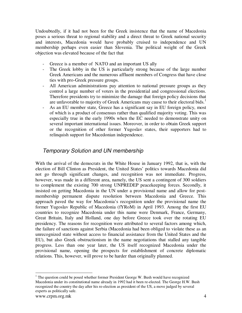Undoubtedly, if it had not been for the Greek insistence that the name of Macedonia poses a serious threat to regional stability and a direct threat to Greek national security and interests, Macedonia would have probably cruised to independence and UN membership perhaps even easier than Slovenia. The political weight of the Greek objection was elevated because of the fact that

- Greece is a member of NATO and an important US ally
- The Greek lobby in the US is particularly strong because of the large number Greek Americans and the numerous affluent members of Congress that have close ties with pro-Greek pressure groups.
- All American administrations pay attention to national pressure groups as they control a large number of voters in the presidential and congressional elections. Therefore presidents try to minimize the damage that foreign policy decisions that are unfavorable to majority of Greek Americans may cause to their electoral bids.<sup>1</sup>
- As an EU member state, Greece has a significant say in EU foreign policy, most of which is a product of consensus rather than qualified majority voting. This was especially true in the early 1990s when the EC needed to demonstrate unity on several important international issues. Moreover, in order to obtain Greek support or the recognition of other former Yugoslav states, their supporters had to relinquish support for Macedonian independence.

## Temporary Solution and UN membership

With the arrival of the democrats in the White House in January 1992, that is, with the election of Bill Clinton as President, the United States' politics towards Macedonia did not go through significant changes, and recognition was not immediate. Progress, however, was made in a different area, namely, the US sent a contingent of 300 soldiers to complement the existing 700 strong UNPREDEP peacekeeping forces. Secondly, it insisted on getting Macedonia in the UN under a provisional name and allow for postmembership permanent dispute resolution between Macedonia and Greece. This approach paved the way for Macedonia's recognition under the provisional name the former Yugoslav Republic of Macedonia (fYRoM) in April 1993. Among the first EU countries to recognize Macedonia under this name were Denmark, France, Germany, Great Britain, Italy and Holland, one day before Greece took over the rotating EU presidency. The reasons for recognition were attributed to several factors among which, the failure of sanctions against Serbia (Macedonia had been obliged to violate these as an unrecognized state without access to financial assistance from the United States and the EU), but also Greek obstructionism in the name negotiations that stalled any tangible progress. Less than one year later, the US itself recognized Macedonia under the provisional name, opening the prospects for establishment of concrete diplomatic relations. This, however, will prove to be harder than originally planned.

<sup>&</sup>lt;sup>1</sup> The question could be posed whether former President George W. Bush would have recognized Macedonia under its constitutional name already in 1992 had it been re-elected. The George H.W. Bush recognized the country the day after his re-election as president of the US, a move judged by several experts as politically safe.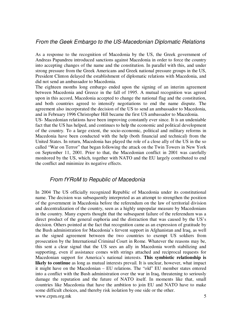### From the Geek Embargo to the US-Macedonian Diplomatic Relations

As a response to the recognition of Macedonia by the US, the Greek government of Andreas Papandreu introduced sanctions against Macedonia in order to force the country into accepting changes of the name and the constitution. In parallel with this, and under strong pressure from the Greek Americans and Greek national pressure groups in the US, President Clinton delayed the establishment of diplomatic relations with Macedonia, and did not send an ambassador to Macedonia.

The eighteen months long embargo ended upon the signing of an interim agreement between Macedonia and Greece in the fall of 1995. A mutual recognition was agreed upon in this accord, Macedonia accepted to change the national flag and the constitution, and both countries agreed to intensify negotiations to end the name dispute. The agreement also incorporated the decision of the US to send an ambassador to Macedonia, and in February 1996 Christopher Hill became the first US ambassador to Macedonia.

US- Macedonian relations have been improving constantly ever since. It is an undeniable fact that the US has helped, and continues to help the economic and political development of the country. To a large extent, the socio-economic, political and military reforms in Macedonia have been conducted with the help (both financial and technical) from the United States. In return, Macedonia has played the role of a close ally of the US in the so called "War on Terror" that began following the attack on the Twin Towers in New York on September 11, 2001. Prior to that, the Macedonian conflict in 2001 was carefully monitored by the US, which, together with NATO and the EU largely contributed to end the conflict and minimize its negative effects.

#### From fYRoM to Republic of Macedonia

www.crpm.org.mk 5 In 2004 The US officially recognized Republic of Macedonia under its constitutional name. The decision was subsequently interpreted as an attempt to strengthen the position of the government in Macedonia before the referendum on the law of territorial division and decentralization of the country, seen as a highly unpopular measure by Macedonians in the country. Many experts thought that the subsequent failure of the referendum was a direct product of the general euphoria and the distraction that was caused by the US's decision. Others pointed at the fact that recognition came as an expression of gratitude by the Bush administration for Macedonia's fervent support in Afghanistan and Iraq, as well as the signed agreement between the two countries to exempt US soldiers from prosecution by the International Criminal Court in Rome. Whatever the reasons may be, this sent a clear signal that the US sees an ally in Macedonia worth stabilizing and supporting, even if assistance comes with strings attached and reciprocal requests for Macedonian support for America's national interests. **This symbiotic relationship is**  likely to continue as long as mutual interests prevail. It is unclear, however, what impact it might have on the Macedonian – EU relations. The "old" EU member states entered into a conflict with the Bush administration over the war in Iraq, threatening to seriously damage the reputation and the future of NATO itself. In moments like that, small countries like Macedonia that have the ambition to join EU and NATO have to make some difficult choices, and thereby risk isolation by one side or the other.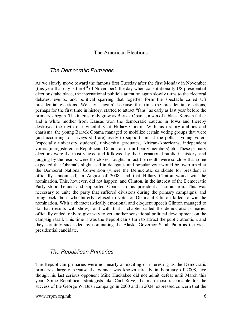#### The American Elections

#### The Democratic Primaries

As we slowly move toward the famous first Tuesday after the first Monday in November (this year that day is the  $4<sup>th</sup>$  of November), the day when constitutionally US presidential elections take place, the international public's attention again slowly turns to the electoral debates, events, and political sparring that together form the spectacle called US presidential elections. We say 'again' because this time the presidential elections, perhaps for the first time in history, started to attract "fans" as early as last year before the primaries began. The interest only grew as Barack Obama, a son of a black Kenyan father and a white mother from Kansas won the democratic caucus in Iowa and thereby destroyed the myth of invincibility of Hillary Clinton. With his oratory abilities and charisma, the young Barack Obama managed to mobilize certain voting groups that were (and according to surveys still are) ready to support him at the polls – young voters (especially university students), university graduates, African-Americans, independent voters (unregistered as Republican, Democrat or third party members) etc. These primary elections were the most viewed and followed by the international public in history, and judging by the results, were the closest fought. In fact the results were so close that some expected that Obama's slight lead in delegates and popular vote would be overturned at the Democrat National Convention (where the Democratic candidate for president is officially announced) in August of 2008, and that Hillary Clinton would win the nomination. This, however, did not happen, and Clinton, in the interest of the Democratic Party stood behind and supported Obama in his presidential nomination. This was necessary to unite the party that suffered divisions during the primary campaigns, and bring back those who bitterly refused to vote for Obama if Clinton failed to win the nomination. With a characteristically emotional and eloquent speech Clinton managed to do that (results will show), and with that a chapter called the democratic primaries officially ended, only to give way to yet another sensational political development on the campaign trail. This time it was the Republican's turn to attract the public attention, and they certainly succeeded by nominating the Alaska Governor Sarah Palin as the vicepresidential candidate.

#### The Republican Primaries

The Republican primaries were not nearly as exciting or interesting as the Democratic primaries, largely because the winner was known already in February of 2008, eve though his last serious opponent Mike Huckabee did not admit defeat until March this year. Some Republican strategists like Carl Rove, the man most responsible for the success of the George W. Bush campaign in 2000 and in 2004, expressed concern that the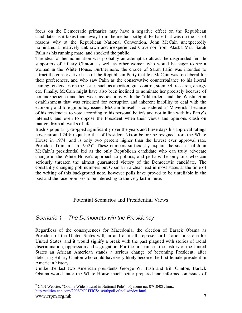focus on the Democratic primaries may have a negative effect on the Republican candidates as it takes them away from the media spotlight. Perhaps that was on the list of reasons why at the Republican National Convention, John McCain unexpectedly nominated a relatively unknown and inexperienced Governor from Alaska Mrs. Sarah Palin as his running mate, and shocked the public.

The idea for her nomination was probably an attempt to attract the disgruntled female supporters of Hillary Clinton, as well as other women who would be eager to see a woman in the White House. Furthermore, the choice of Sarah Palin was intended to attract the conservative base of the Republican Party that felt McCain was too liberal for their preferences, and who saw Palin as the conservative counterbalance to his liberal leaning tendencies on the issues such as abortion, gun-control, stem-cell research, energy etc. Finally, McCain might have also been inclined to nominate her precisely because of her inexperience and her weak associations with the "old order" and the Washington establishment that was criticized for corruption and inherent inability to deal with the economy and foreign policy issues. McCain himself is considered a "Maverick" because of his tendencies to vote according to his personal beliefs and not in line with his Party's interests, and even to oppose the President when their views and opinions clash on matters from all walks of life.

Bush's popularity dropped significantly over the years and these days his approval ratings hover around 24% (equal to that of President Nixon before he resigned from the White House in 1974, and is only two percent higher than the lowest ever approval rate, President Truman's in  $1952$ <sup>2</sup>. These numbers sufficiently explain the success of John McCain's presidential bid as the only Republican candidate who can truly advocate change in the White House's approach to politics, and perhaps the only one who can seriously threaten the almost guaranteed victory of the Democratic candidate. The constantly changing poll numbers put Obama in a clear lead in most states at the time of the writing of this background note, however polls have proved to be unreliable in the past and the race promises to be interesting to the very last minute.

## Potential Scenarios and Presidential Views

## Scenario 1 – The Democrats win the Presidency

Regardless of the consequences for Macedonia, the election of Barack Obama as President of the United States will, in and of itself, represent a historic milestone for United States, and it would signify a break with the past plagued with stories of racial discrimination, oppression and segregation. For the first time in the history of the United States an African American stands a serious change of becoming President, after defeating Hillary Clinton who could have very likely become the first female president in American history.

Unlike the last two American presidents George W. Bush and Bill Clinton, Barack Obama would enter the White House much better prepared and informed on issues of

www.crpm.org.mk 7 2 CNN Website, "Obama Widens Lead in National Pole", објавено на: 07/10/08 Линк: http://edition.cnn.com/2008/POLITICS/10/06/poll.of.polls/index.html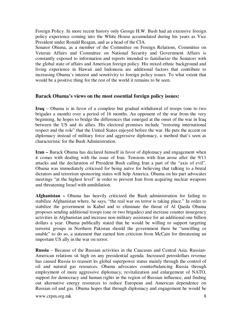Foreign Policy. In more recent history only George H.W. Bush had an extensive foreign policy experience coming into the White House accumulated during his years as Vice President under Ronald Reagan, and as a head of the CIA.

Senator Obama, as a member of the Committee on Foreign Relations, Committee on Veteran Affairs and Committee on National Security and Government Affairs is constantly exposed to information and reports intended to familiarize the Senators with the global state of affairs and American foreign policy. His mixed ethnic background and living experience in Hawaii and Indonesia are additional factors that contribute to increasing Obama's interest and sensitivity to foreign policy issues. To what extent that would be a positive thing for the rest of the world it remains to be seen.

#### **Barack Obama's views on the most essential foreign policy issues:**

**Iraq** – Obama is in favor of a complete but gradual withdrawal of troops (one to two brigades a month) over a period of 16 months. An opponent of the war from the very beginning, he hopes to bridge the differences that emerged at the onset of the war in Iraq between the US and its allies. His electoral promises include "restoring international respect and the role" that the United States enjoyed before the war. He puts the accent on diplomacy instead of military force and aggressive diplomacy, a method that's seen as characteristic for the Bush Administration.

**Iran –** Barack Obama has declared himself in favor of diplomacy and engagement when it comes with dealing with the issue of Iran. Tensions with Iran arose after the 9/11 attacks and the declaration of President Bush calling Iran a part of the "axis of evil". Obama was immediately criticised for being naïve for believing that talking to a brutal dictators and terrorism sponsoring states will help America. Obama on his part advocates meetings "at the highest level" in order to prevent Iran from acquiring nuclear weapons and threatening Israel with annihilation.

**Afghanistan –** Obama has heavily criticized the Bush administration for failing to stabilize Afghanistan where, he says, "the real war on terror is taking place." In order to stabilize the government in Kabul and to eliminate the threat of Al Qaeda Obama proposes sending additional troops (one or two brigades) and increase counter insurgency activities in Afghanistan and increase non-military assistance for an additional one billion dollars a year. Obama publically stated that he would be willing to support targeting terrorist groups in Northern Pakistan should the government there be "unwilling or unable" to do so, a statement that earned him criticism from McCain for threatening an important US ally in the war on terror.

**Russia** – Because of the Russian activities in the Caucasus and Central Asia, Russian-American relations sit high on any presidential agenda. Increased petrodollars revenue has caused Russia to reassert its global superpower status mainly through the control of oil and natural gas resources. Obama advocates counterbalancing Russia through employment of more aggressive diplomacy, revitalization and enlargement of NATO, support for democracy and human rights in the region of Russian influence, and finding out alternative energy resources to reduce European and American dependence on Russian oil and gas. Obama hopes that through diplomacy and engagement he would be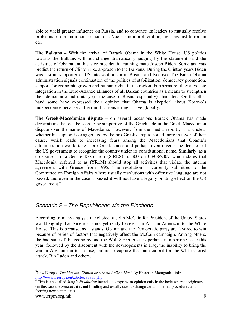able to wield greater influence on Russia, and to convince its leaders to mutually resolve problems of common concern such as Nuclear non-proliferation, fight against terrorism etc.

**The Balkans –** With the arrival of Barack Obama in the White House, US politics towards the Balkans will not change dramatically judging by the statement sand the activities of Obama and his vice-presidential running mate Joseph Biden. Some analysts predict the return of Clinton like approach to the Balkans. During the Clinton years Biden was a stout supporter of US interventionism in Bosnia and Kosovo. The Biden-Obama administration signals continuation of the politics of stabilization, democracy promotion, support for economic growth and human rights in the region. Furthermore, they advocate integration in the Euro-Atlantic alliances of all Balkan countries as a means to strengthen their democratic and unitary (in the case of Bosnia especially) character. On the other hand some have expressed their opinion that Obama is skeptical about Kosovo's independence because of the ramifications it might have globally.<sup>3</sup>

**The Greek-Macedonian dispute –** on several occasions Barack Obama has made declarations that can be seen to be supportive of the Greek side in the Greek-Macedonian dispute over the name of Macedonia. However, from the media reports, it is unclear whether his support is exaggerated by the pro-Greek camp to sound more in favor of their cause, which leads to increasing fears among the Macedonians that Obama's administration would take a pro-Greek stance and perhaps even reverse the decision of the US government to recognize the country under its constitutional name. Similarly, as a co-sponsor of a Senate Resolution (S.RES) n. 300 on 03/08/2007 which states that Macedonia (referred to as fYRoM) should stop all activities that violate the interim agreement with Greece from 1995. The resolution is currently submitted to the Committee on Foreign Affairs where usually resolutions with offensive language are not passed, and even in the case it passed it will not have a legally binding effect on the US government. $4$ 

## Scenario 2 – The Republicans win the Elections

According to many analysts the choice of John McCain for President of the United States would signify that America is not yet ready to select an African-American to the White House. This is because, as it stands, Obama and the Democratic party are favored to win because of series of factors that negatively affect the McCain campaign. Among others, the bad state of the economy and the Wall Street crisis is perhaps number one issue this year, followed by the discontent with the developments in Iraq, the inability to bring the war in Afghanistan to a close, failure to capture the main culprit for the 9/11 terrorist attack, Bin Laden and others.

 $\overline{a}$ <sup>3</sup>New Europe, *The McCain, Clinton or Obama Balkan Line?* By Elisabeth Maragoula, link: http://www.neurope.eu/articles/83833.php

<sup>&</sup>lt;sup>4</sup> This is a so called *Simple Resolution* intended to express an opinion only in the body where it originates (in this case the Senate) , it is **not binding** and usually used to change certain internal procedures and forming new committees.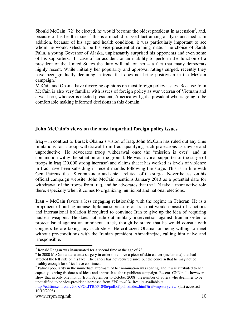Should McCain  $(72)$  be elected, he would become the oldest president in ascension<sup>5</sup>, and, because of his health issues,<sup>6</sup> this is a much discussed fact among analysts and media. In addition, because of his age and health condition, it was particularly important to see whom he would select to be his vice-presidential running mate. The choice of Sarah Palin, a young Governor of Alaska, unpleasantly surprised his opponents and even some of his supporters. In case of an accident or an inability to perform the function of a president of the United States the duty will fall on her – a fact that many democrats highly resent. While initially her popularity and approval ratings surged, recently they have been gradually declining, a trend that does not bring positivism in the McCain campaign. $7$ 

McCain and Obama have diverging opinions on most foreign policy issues. Because John McCain is also very familiar with issues of foreign policy as war veteran of Vietnam and a war hero, whoever is elected president, America will get a president who is going to be comfortable making informed decisions in this domain.

#### **John McCain's views on the most important foreign policy issues**

Iraq – in contrast to Barack Obama's vision of Iraq, John McCain has ruled out any time limitations for a troop withdrawal from Iraq, qualifying such projections as unwise and unproductive. He advocates troop withdrawal once the "mission is over" and in conjunction withy the situation on the ground. He was a vocal supporter of the surge of troops in Iraq (20.000 strong increase) and claims that it has worked as levels of violence in Iraq have been subsiding in recent months following the surge. This is in line with Gen. Patreus, the US commander and chief architect of the surge. Nevertheless, on his official campaign website, John McCain mentions January 2013 as a potential date for withdrawal of the troops from Iraq, and he advocates that the UN take a more active role there, especially when it comes to organizing municipal and national elections.

**Iran** – McCain favors a less engaging relationship with the regime in Teheran. He is a proponent of putting intense diplomatic pressure on Iran that would consist of sanctions and international isolation if required to convince Iran to give up the idea of acquiring nuclear weapons. He does not rule out military intervention against Iran in order to protect Israel against an imminent attack, though he stated that he would consult with congress before taking any such steps. He criticized Obama for being willing to meet without pre-conditions with the Iranian president Ahmadinejad, calling him naïve and irresponsible.

 $<sup>7</sup>$  Palin's popularity in the immediate aftermath of her nomination was soaring, and it was attributed to her</sup> capacity to bring freshness of ideas and approach to the republican campaign. Recent CNN polls however show that in only one month (from September to October 2008) the number of voters who deem her to be unqualified to be vice-president increased from 27% to 40%. Results available at:

http://edition.cnn.com/2008/POLITICS/10/06/poll.of.polls/index.html?iref=mpstoryview (last accessed 10/10/2008)

 $\overline{a}$ 

<sup>&</sup>lt;sup>5</sup> Ronald Reagan was inaugurated for a second time at the age of 73

<sup>&</sup>lt;sup>6</sup> In 2000 McCain underwent a surgery in order to remove a piece of skin cancer (melanoma) that had affected the left side on his face. The cancer has not recurred since but the concern that he may not be healthy enough for office have continued.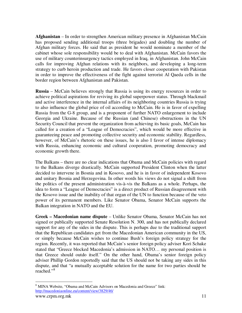**Afghanistan** – In order to strengthen American military presence in Afghanistan McCain has proposed sending additional troops (three brigades) and doubling the number of Afghan military forces. He said that as president he would nominate a member of the cabinet whose sole responsibility would be to deal with Afghanistan. McCain favors the use of military counterinsurgency tactics employed in Iraq, in Afghanistan. John McCain calls for improving Afghan relations with its neighbors, and developing a long-term strategy to curb heroin production and trade. He favors closer cooperation with Pakistan in order to improve the effectiveness of the fight against terrorist Al Qaeda cells in the border region between Afghanistan and Pakistan.

**Russia** – McCain believes strongly that Russia is using its energy resources in order to achieve political aspirations for reviving its global superpower status. Through blackmail and active interference in the internal affairs of its neighboring countries Russia is trying to also influence the global price of oil according to McCain. He is in favor of expelling Russia from the G-8 group, and is a proponent of further NATO enlargement to include Georgia and Ukraine. Because of the Russian (and Chinese) obstructions in the UN Security Council that prevent the organization from achieving its basic goals, McCain has called for a creation of a "League of Democracies", which would be more effective in guaranteeing peace and promoting collective security and economic stability. Regardless, however, of McCain's rhetoric on these issues, he is also I favor of intense diplomacy with Russia, enhancing economic and cultural cooperation, promoting democracy and economic growth there.

The Balkans – there are no clear indications that Obama and McCain policies with regard to the Balkans diverge drastically. McCain supported President Clinton when the latter decided to intervene in Bosnia and in Kosovo, and he is in favor of independent Kosovo and unitary Bosnia and Herzegovina. In other words his views do not signal a shift from the politics of the present administration vis-à-vis the Balkans as a whole. Perhaps, the idea to form a "League of Democracies" is a direct product of Russian disagreement with the Kosovo issue and the inability of that organ of the UN to function because of the veto power of its permanent members. Like Senator Obama, Senator McCain supports the Balkan integration in NATO and the EU.

**Greek – Macedonian name dispute** – Unlike Senator Obama, Senator McCain has not signed or publically supported Senate Resolution N. 300, and has not publically declared support for any of the sides in the dispute. This is perhaps due to the traditional support that the Republican candidates get from the Macedonian American community in the US, or simply because McCain wishes to continue Bush's foreign policy strategy for the region. Recently, it was reported that McCain's senior foreign policy adviser Kori Schake stated that "Greece blocked Macedonia's admission in NATO… my personal position is that Greece should outdo itself." On the other hand, Obama's senior foreign policy adviser Phillip Gordon reportedly said that the US should not be taking any sides in this dispute, and that "a mutually acceptable solution for the name for two parties should be reached."<sup>8</sup>

www.crpm.org.mk 11  $\overline{a}$ <sup>8</sup> MINA Website, "Obama and McCain Advisors on Macedonia and Greece" link: http://macedoniaonline.eu/content/view/3829/46/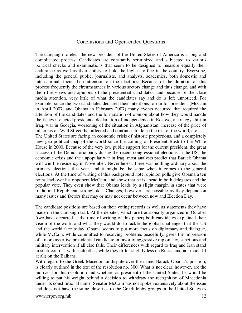#### Conclusions and Open-ended Questions

The campaign to elect the new president of the United States of America is a long and complicated process. Candidates are constantly scrutinized and subjected to various political checks and examinations that seem to be designed to measure equally their endurance as well as their ability to hold the highest office in the country. Everyone, including the general public, journalists, and analysts, academics, both domestic and international, focus their attention on the elections. Because of the duration of this process frequently the circumstances in various sectors change and thus change, and with them the views and opinions of the presidential candidates, and because of the close media attention, very little of what the candidates say and do is left unnoticed. For example, since the two candidates declared their intentions to run for president (McCain in April 2007, and Obama in February 2007) many events occurred that required the attention of the candidates and the formulation of opinion about how they would handle the issues if elected presidents: declaration of independence in Kosovo, a strategy shift in Iraq, war in Georgia, worsening of the situation in Afghanistan, increase of the price of oil, crisis on Wall Street that affected and continues to do so the rest of the world, etc.

The United States are facing an economic crisis of historic proportions, and a completely new geo-political map of the world since the coming of President Bush to the White House in 2000. Because of the very low public support for the current president, the great success of the Democratic party during the recent congressional elections in the US, the economic crisis and the unpopular war in Iraq, most analysts predict that Barack Obama will win the residency in November. Nevertheless, there was nothing ordinary about the primary elections this year, and it might be the same when it comes to the general elections. At the time of writing of this background note, opinion polls give Obama a ten point lead over his opponent McCain, and show that he is ahead in both delegates and the popular vote. They even show that Obama leads by a slight margin in states that were traditional Republican strongholds. Changes, however, are possible as they depend on many issues and factors that may or may not occur between now and Election Day.

The candidate positions are based on their voting records as well as statements they have made on the campaign trail. At the debates, which are traditionally organized in October (two have occurred at the time of writing of this paper) both candidates explained their vision of the world and what they would do to tackle the global challenges that the US and the world face today. Obama seems to put more focus on diplomacy and dialogue, while McCain, while committed to resolving problems peacefully, gives the impression of a more assertive presidential candidate in favor of aggressive diplomacy, sanctions and military intervention if all else fails. Their differences with regard to Iraq and Iran stand in stark contrast with each other, while they differ slightly less on Russia and not much (if at all) on the Balkans.

With regard to the Greek-Macedonian dispute over the name, Barack Obama's position, is clearly outlined in the text of the resolution no. 300. What is not clear, however, are the motives for this resolution and whether, as president of the United States, he would be willing to put his weight behind a decision to withdraw the recognition of Macedonia under its constitutional name. Senator McCain has not spoken extensively about the issue and does not have the same close ties to the Greek lobby groups in the United States as